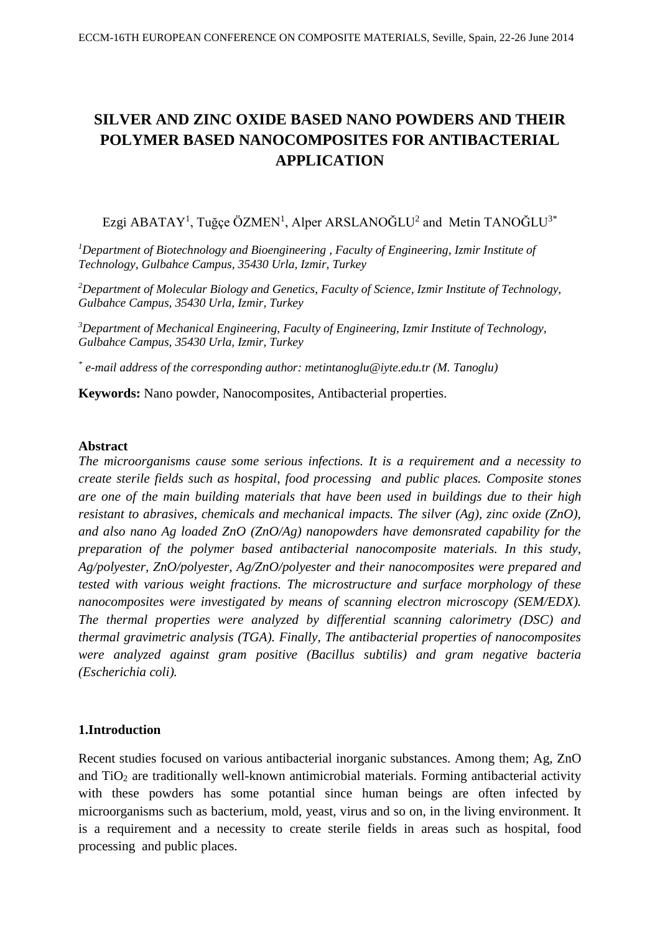# **SILVER AND ZINC OXIDE BASED NANO POWDERS AND THEIR POLYMER BASED NANOCOMPOSITES FOR ANTIBACTERIAL APPLICATION**

Ezgi ABATAY<sup>1</sup>, Tuğçe ÖZMEN<sup>1</sup>, Alper ARSLANOĞLU<sup>2</sup> and Metin TANOĞLU<sup>3\*</sup>

*<sup>1</sup>Department of Biotechnology and Bioengineering , Faculty of Engineering, Izmir Institute of Technology, Gulbahce Campus, 35430 Urla, Izmir, Turkey*

*<sup>2</sup>Department of Molecular Biology and Genetics, Faculty of Science, Izmir Institute of Technology, Gulbahce Campus, 35430 Urla, Izmir, Turkey*

*<sup>3</sup>Department of Mechanical Engineering, Faculty of Engineering, Izmir Institute of Technology, Gulbahce Campus, 35430 Urla, Izmir, Turkey*

*\* e-mail address of the corresponding author: metintanoglu@iyte.edu.tr (M. Tanoglu)*

**Keywords:** Nano powder, Nanocomposites, Antibacterial properties.

#### **Abstract**

*The microorganisms cause some serious infections. It is a requirement and a necessity to create sterile fields such as hospital, food processing and public places. Composite stones are one of the main building materials that have been used in buildings due to their high resistant to abrasives, chemicals and mechanical impacts. The silver (Ag), zinc oxide (ZnO), and also nano Ag loaded ZnO (ZnO/Ag) nanopowders have demonsrated capability for the preparation of the polymer based antibacterial nanocomposite materials. In this study, Ag/polyester, ZnO/polyester, Ag/ZnO/polyester and their nanocomposites were prepared and tested with various weight fractions. The microstructure and surface morphology of these nanocomposites were investigated by means of scanning electron microscopy (SEM/EDX). The thermal properties were analyzed by differential scanning calorimetry (DSC) and thermal gravimetric analysis (TGA). Finally, The antibacterial properties of nanocomposites were analyzed against gram positive (Bacillus subtilis) and gram negative bacteria (Escherichia coli).*

#### **1.Introduction**

Recent studies focused on various antibacterial inorganic substances. Among them; Ag, ZnO and  $TiO<sub>2</sub>$  are traditionally well-known antimicrobial materials. Forming antibacterial activity with these powders has some potantial since human beings are often infected by microorganisms such as bacterium, mold, yeast, virus and so on, in the living environment. It is a requirement and a necessity to create sterile fields in areas such as hospital, food processing and public places.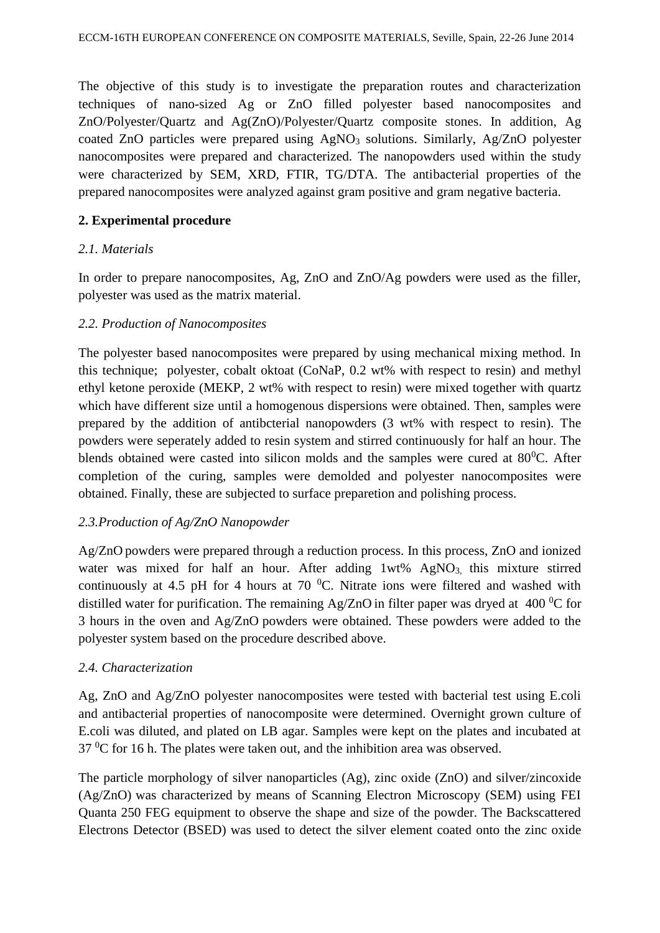The objective of this study is to investigate the preparation routes and characterization techniques of nano-sized Ag or ZnO filled polyester based nanocomposites and ZnO/Polyester/Quartz and Ag(ZnO)/Polyester/Quartz composite stones. In addition, Ag coated ZnO particles were prepared using AgNO<sub>3</sub> solutions. Similarly, Ag/ZnO polyester nanocomposites were prepared and characterized. The nanopowders used within the study were characterized by SEM, XRD, FTIR, TG/DTA. The antibacterial properties of the prepared nanocomposites were analyzed against gram positive and gram negative bacteria.

# **2. Experimental procedure**

# *2.1. Materials*

In order to prepare nanocomposites, Ag, ZnO and ZnO/Ag powders were used as the filler, polyester was used as the matrix material.

## *2.2. Production of Nanocomposites*

The polyester based nanocomposites were prepared by using mechanical mixing method. In this technique; polyester, cobalt oktoat (CoNaP, 0.2 wt% with respect to resin) and methyl ethyl ketone peroxide (MEKP, 2 wt% with respect to resin) were mixed together with quartz which have different size until a homogenous dispersions were obtained. Then, samples were prepared by the addition of antibcterial nanopowders (3 wt% with respect to resin). The powders were seperately added to resin system and stirred continuously for half an hour. The blends obtained were casted into silicon molds and the samples were cured at  $80^{\circ}$ C. After completion of the curing, samples were demolded and polyester nanocomposites were obtained. Finally, these are subjected to surface preparetion and polishing process.

# *2.3.Production of Ag/ZnO Nanopowder*

Ag/ZnO powders were prepared through a reduction process. In this process, ZnO and ionized water was mixed for half an hour. After adding  $1wt\%$  AgNO<sub>3</sub> this mixture stirred continuously at 4.5 pH for 4 hours at 70  $^{\circ}$ C. Nitrate ions were filtered and washed with distilled water for purification. The remaining Ag/ZnO in filter paper was dryed at 400  $\rm{^0C}$  for 3 hours in the oven and Ag/ZnO powders were obtained. These powders were added to the polyester system based on the procedure described above.

#### *2.4. Characterization*

Ag, ZnO and Ag/ZnO polyester nanocomposites were tested with bacterial test using E.coli and antibacterial properties of nanocomposite were determined. Overnight grown culture of E.coli was diluted, and plated on LB agar. Samples were kept on the plates and incubated at  $37 \,^0C$  for 16 h. The plates were taken out, and the inhibition area was observed.

The particle morphology of silver nanoparticles (Ag), zinc oxide (ZnO) and silver/zincoxide (Ag/ZnO) was characterized by means of Scanning Electron Microscopy (SEM) using FEI Quanta 250 FEG equipment to observe the shape and size of the powder. The Backscattered Electrons Detector (BSED) was used to detect the silver element coated onto the zinc oxide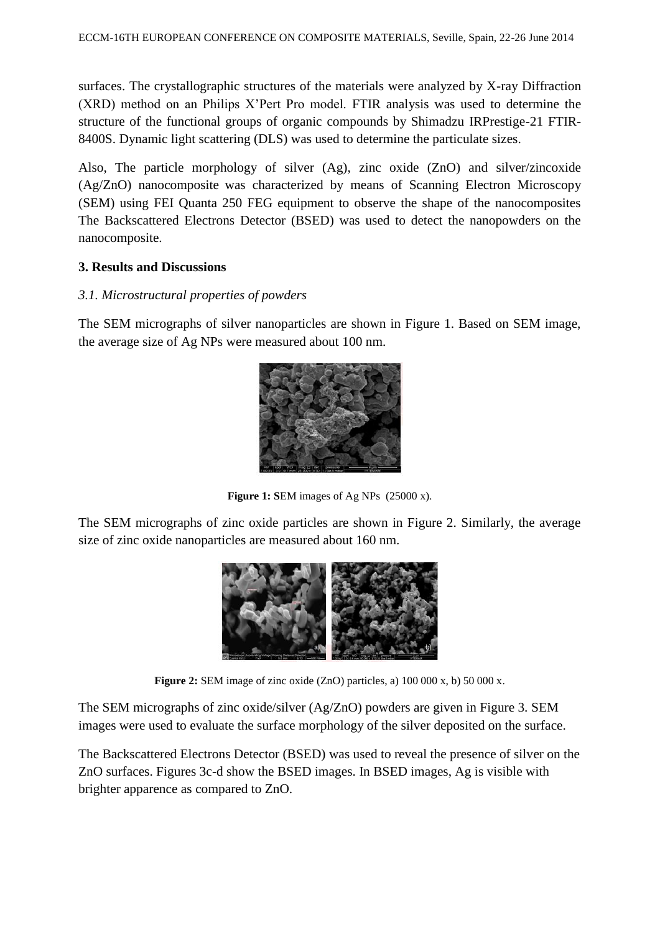surfaces. The crystallographic structures of the materials were analyzed by X-ray Diffraction (XRD) method on an Philips X'Pert Pro model. FTIR analysis was used to determine the structure of the functional groups of organic compounds by Shimadzu IRPrestige-21 FTIR-8400S. Dynamic light scattering (DLS) was used to determine the particulate sizes.

Also, The particle morphology of silver (Ag), zinc oxide (ZnO) and silver/zincoxide (Ag/ZnO) nanocomposite was characterized by means of Scanning Electron Microscopy (SEM) using FEI Quanta 250 FEG equipment to observe the shape of the nanocomposites The Backscattered Electrons Detector (BSED) was used to detect the nanopowders on the nanocomposite.

# **3. Results and Discussions**

# *3.1. Microstructural properties of powders*

The SEM micrographs of silver nanoparticles are shown in Figure 1. Based on SEM image, the average size of Ag NPs were measured about 100 nm.



Figure 1: SEM images of Ag NPs (25000 x).

The SEM micrographs of zinc oxide particles are shown in Figure 2. Similarly, the average size of zinc oxide nanoparticles are measured about 160 nm.



**Figure 2:** SEM image of zinc oxide (ZnO) particles, a) 100 000 x, b) 50 000 x.

The SEM micrographs of zinc oxide/silver (Ag/ZnO) powders are given in Figure 3. SEM images were used to evaluate the surface morphology of the silver deposited on the surface.

The Backscattered Electrons Detector (BSED) was used to reveal the presence of silver on the ZnO surfaces. Figures 3c-d show the BSED images. In BSED images, Ag is visible with brighter apparence as compared to ZnO.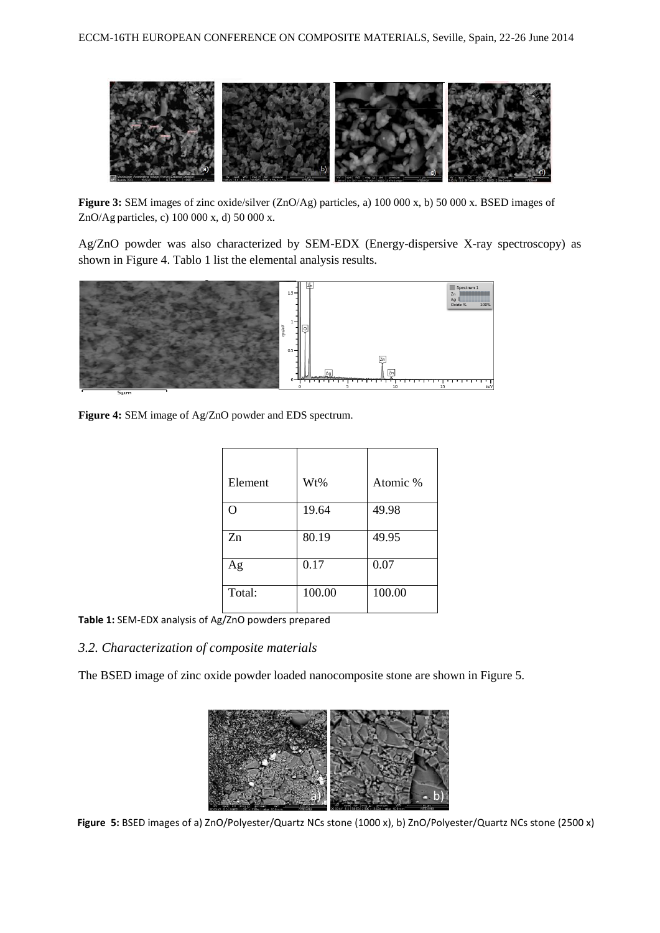

**Figure 3:** SEM images of zinc oxide/silver (ZnO/Ag) particles, a) 100 000 x, b) 50 000 x. BSED images of ZnO/Ag particles, c) 100 000 x, d) 50 000 x.

Ag/ZnO powder was also characterized by SEM-EDX (Energy-dispersive X-ray spectroscopy) as shown in Figure 4. Tablo 1 list the elemental analysis results.



**Figure 4:** SEM image of Ag/ZnO powder and EDS spectrum.

| Element | Wt%    | Atomic % |
|---------|--------|----------|
| O       | 19.64  | 49.98    |
| Zn      | 80.19  | 49.95    |
| Ag      | 0.17   | 0.07     |
| Total:  | 100.00 | 100.00   |

**Table 1:** SEM-EDX analysis of Ag/ZnO powders prepared

# *3.2. Characterization of composite materials*

The BSED image of zinc oxide powder loaded nanocomposite stone are shown in Figure 5.



**Figure 5:** BSED images of a) ZnO/Polyester/Quartz NCs stone (1000 x), b) ZnO/Polyester/Quartz NCs stone (2500 x)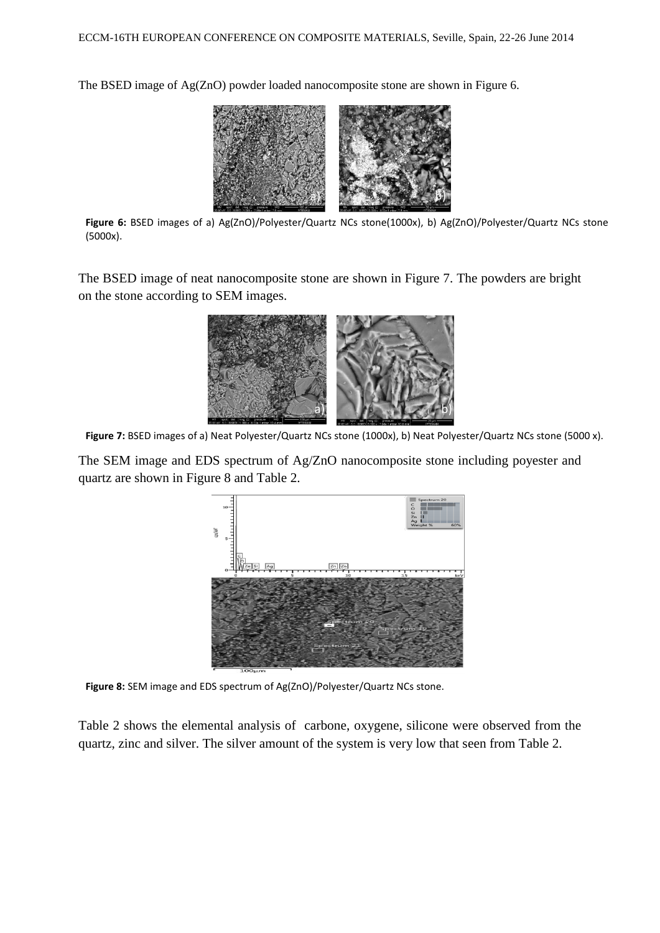The BSED image of Ag(ZnO) powder loaded nanocomposite stone are shown in Figure 6.



**Figure 6:** BSED images of a) Ag(ZnO)/Polyester/Quartz NCs stone(1000x), b) Ag(ZnO)/Polyester/Quartz NCs stone (5000x).

The BSED image of neat nanocomposite stone are shown in Figure 7. The powders are bright on the stone according to SEM images.



Figure 7: BSED images of a) Neat Polyester/Quartz NCs stone (1000x), b) Neat Polyester/Quartz NCs stone (5000 x).

The SEM image and EDS spectrum of Ag/ZnO nanocomposite stone including poyester and quartz are shown in Figure 8 and Table 2.



**Figure 8:** SEM image and EDS spectrum of Ag(ZnO)/Polyester/Quartz NCs stone.

Table 2 shows the elemental analysis of carbone, oxygene, silicone were observed from the quartz, zinc and silver. The silver amount of the system is very low that seen from Table 2.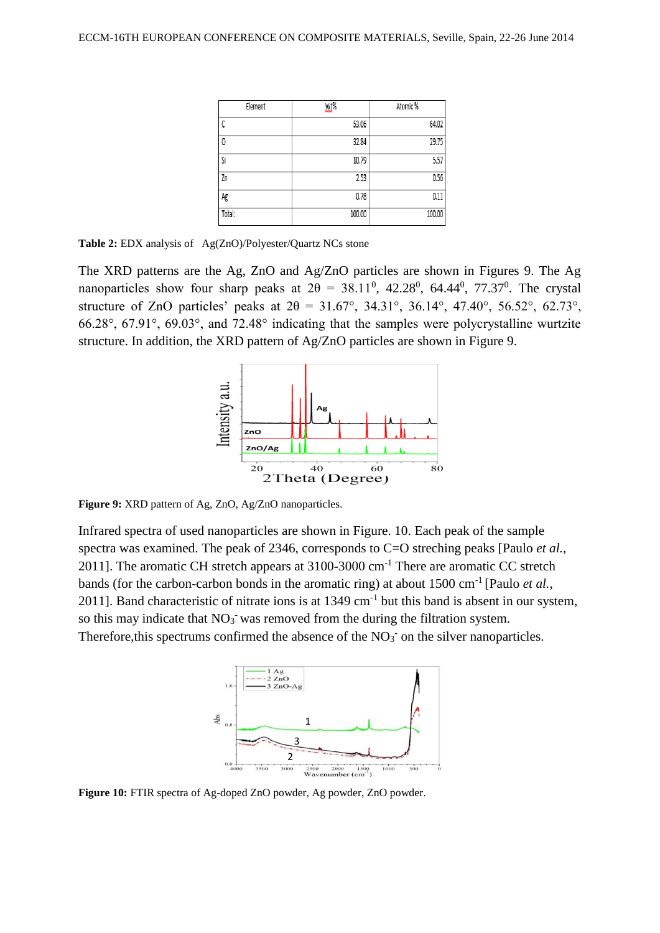| Element | Wt%    | Atomic% |  |
|---------|--------|---------|--|
| С       | 53.06  | 64.02   |  |
| 0       | 32.84  | 29.75   |  |
| Si      | 10.79  | 5.57    |  |
| Zn      | 2.53   | 0.56    |  |
| Ag      | 0.78   | 0.11    |  |
| Total:  | 100.00 | 100.00  |  |

**Table 2:** EDX analysis of Ag(ZnO)/Polyester/Quartz NCs stone

The XRD patterns are the Ag, ZnO and Ag/ZnO particles are shown in Figures 9. The Ag nanoparticles show four sharp peaks at  $2\theta = 38.11^{\circ}$ , 42.28<sup>0</sup>, 64.44<sup>0</sup>, 77.37<sup>0</sup>. The crystal structure of ZnO particles' peaks at  $2\theta = 31.67^{\circ}$ ,  $34.31^{\circ}$ ,  $36.14^{\circ}$ ,  $47.40^{\circ}$ ,  $56.52^{\circ}$ ,  $62.73^{\circ}$ , 66.28°, 67.91°, 69.03°, and 72.48° indicating that the samples were polycrystalline wurtzite structure. In addition, the XRD pattern of Ag/ZnO particles are shown in Figure 9.



**Figure 9:** XRD pattern of Ag, ZnO, Ag/ZnO nanoparticles.

Infrared spectra of used nanoparticles are shown in Figure. 10. Each peak of the sample spectra was examined. The peak of 2346, corresponds to C=O streching peaks [Paulo *et al.*, 2011]. The aromatic CH stretch appears at 3100-3000 cm<sup>-1</sup> There are aromatic CC stretch bands (for the carbon-carbon bonds in the aromatic ring) at about 1500 cm<sup>-1</sup> [Paulo *et al.*, 2011]. Band characteristic of nitrate ions is at  $1349 \text{ cm}^{-1}$  but this band is absent in our system, so this may indicate that  $NO<sub>3</sub>$  was removed from the during the filtration system. Therefore, this spectrums confirmed the absence of the  $NO<sub>3</sub>$  on the silver nanoparticles.



**Figure 10:** FTIR spectra of Ag-doped ZnO powder, Ag powder, ZnO powder.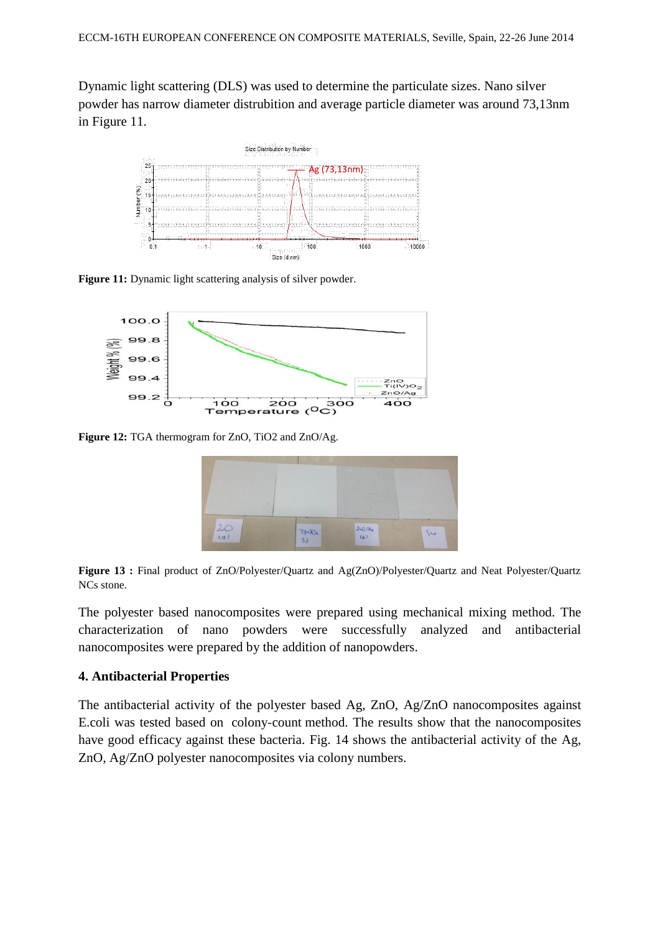Dynamic light scattering (DLS) was used to determine the particulate sizes. Nano silver powder has narrow diameter distrubition and average particle diameter was around 73,13nm in Figure 11.



**Figure 11:** Dynamic light scattering analysis of silver powder.



**Figure 12:** TGA thermogram for ZnO, TiO2 and ZnO/Ag.





The polyester based nanocomposites were prepared using mechanical mixing method. The characterization of nano powders were successfully analyzed and antibacterial nanocomposites were prepared by the addition of nanopowders.

#### **4. Antibacterial Properties**

The antibacterial activity of the polyester based Ag, ZnO, Ag/ZnO nanocomposites against E.coli was tested based on colony-count method. The results show that the nanocomposites have good efficacy against these bacteria. Fig. 14 shows the antibacterial activity of the Ag, ZnO, Ag/ZnO polyester nanocomposites via colony numbers.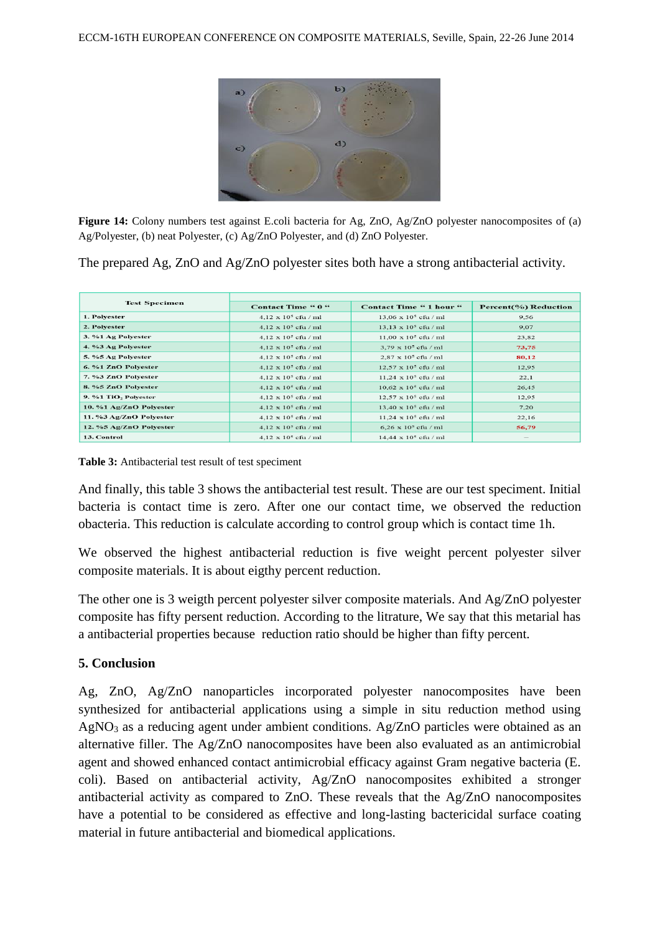

**Figure 14:** Colony numbers test against E.coli bacteria for Ag, ZnO, Ag/ZnO polyester nanocomposites of (a) Ag/Polyester, (b) neat Polyester, (c) Ag/ZnO Polyester, and (d) ZnO Polyester.

The prepared Ag, ZnO and Ag/ZnO polyester sites both have a strong antibacterial activity.

| <b>Test Specimen</b>             | Contact Time " 0 "          | <b>Contact Time " 1 hour "</b> | Percent(%) Reduction |
|----------------------------------|-----------------------------|--------------------------------|----------------------|
| 1. Polyester                     | $4.12 \times 10^5$ cfu / ml | $13.06 \times 10^5$ cfu / ml   | 9.56                 |
| 2. Polyester                     | $4,12 \times 10^5$ cfu / ml | $13.13 \times 10^5$ cfu / ml   | 9.07                 |
| 3. %1 Ag Polyester               | $4.12 \times 10^5$ cfu / ml | $11,00 \times 10^5$ cfu / ml   | 23,82                |
| 4. %3 Ag Polyester               | $4.12 \times 10^5$ cfu / ml | $3.79 \times 10^5$ cfu / ml    | 73,75                |
| 5. %5 Ag Polyester               | $4.12 \times 10^5$ cfu / ml | $2.87 \times 10^5$ cfu / ml    | 80,12                |
| 6. %1 ZnO Polvester              | $4.12 \times 10^5$ cfu / ml | $12.57 \times 10^5$ cfu / ml   | 12,95                |
| 7. %3 ZnO Polyester              | $4.12 \times 10^5$ cfu / ml | $11.24 \times 10^5$ cfu / ml   | 22,1                 |
| 8. %5 ZnO Polyester              | $4.12 \times 10^5$ cfu / ml | $10.62 \times 10^5$ cfu / ml   | 26,45                |
| 9. %1 TiO <sub>2</sub> Polyester | $4.12 \times 10^5$ cfu / ml | $12.57 \times 10^5$ cfu / ml   | 12,95                |
| 10. %1 Ag/ZnO Polyester          | $4,12 \times 10^5$ cfu / ml | $13,40 \times 10^5$ cfu / ml   | 7,20                 |
| 11. %3 Ag/ZnO Polyester          | $4.12 \times 10^5$ cfu / ml | $11.24 \times 10^5$ cfu / ml   | 22,16                |
| 12. %5 Ag/ZnO Polyester          | $4,12 \times 10^5$ cfu / ml | $6,26 \times 10^5$ cfu / ml    | 56,79                |
| 13. Control                      | $4.12 \times 10^5$ cfu / ml | $14.44 \times 10^5$ cfu / ml   | $-$                  |

**Table 3:** Antibacterial test result of test speciment

And finally, this table 3 shows the antibacterial test result. These are our test speciment. Initial bacteria is contact time is zero. After one our contact time, we observed the reduction obacteria. This reduction is calculate according to control group which is contact time 1h.

We observed the highest antibacterial reduction is five weight percent polyester silver composite materials. It is about eigthy percent reduction.

The other one is 3 weigth percent polyester silver composite materials. And Ag/ZnO polyester composite has fifty persent reduction. According to the litrature, We say that this metarial has a antibacterial properties because reduction ratio should be higher than fifty percent.

#### **5. Conclusion**

Ag, ZnO, Ag/ZnO nanoparticles incorporated polyester nanocomposites have been synthesized for antibacterial applications using a simple in situ reduction method using  $AgNO<sub>3</sub>$  as a reducing agent under ambient conditions. Ag/ZnO particles were obtained as an alternative filler. The Ag/ZnO nanocomposites have been also evaluated as an antimicrobial agent and showed enhanced contact antimicrobial efficacy against Gram negative bacteria (E. coli). Based on antibacterial activity, Ag/ZnO nanocomposites exhibited a stronger antibacterial activity as compared to ZnO. These reveals that the Ag/ZnO nanocomposites have a potential to be considered as effective and long-lasting bactericidal surface coating material in future antibacterial and biomedical applications.